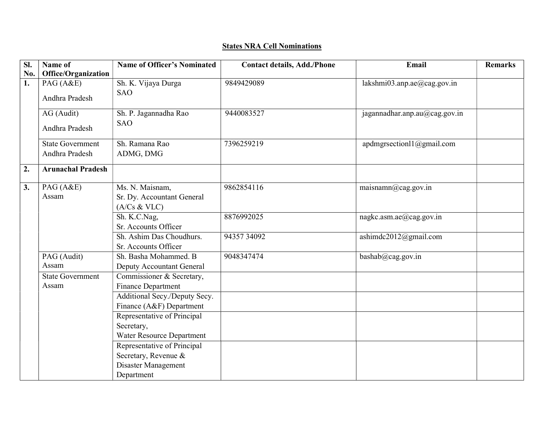## States NRA Cell Nominations

| SI. | Name of                  | <b>Name of Officer's Nominated</b> | <b>Contact details, Add./Phone</b> | Email                         | <b>Remarks</b> |
|-----|--------------------------|------------------------------------|------------------------------------|-------------------------------|----------------|
| No. | Office/Organization      |                                    |                                    |                               |                |
| 1.  | PAG(A&E)                 | Sh. K. Vijaya Durga                | 9849429089                         | lakshmi03.anp.ae@cag.gov.in   |                |
|     | Andhra Pradesh           | <b>SAO</b>                         |                                    |                               |                |
|     | AG (Audit)               | Sh. P. Jagannadha Rao              | 9440083527                         | jagannadhar.anp.au@cag.gov.in |                |
|     | Andhra Pradesh           | <b>SAO</b>                         |                                    |                               |                |
|     | <b>State Government</b>  | Sh. Ramana Rao                     | 7396259219                         | apdmgrsection11@gmail.com     |                |
|     | Andhra Pradesh           | ADMG, DMG                          |                                    |                               |                |
| 2.  | <b>Arunachal Pradesh</b> |                                    |                                    |                               |                |
|     |                          |                                    |                                    |                               |                |
| 3.  | PAG (A&E)                | Ms. N. Maisnam,                    | 9862854116                         | mainamn@cag.gov.in            |                |
|     | Assam                    | Sr. Dy. Accountant General         |                                    |                               |                |
|     |                          | (A/Cs & VLC)                       |                                    |                               |                |
|     |                          | Sh. K.C.Nag,                       | 8876992025                         | nagkc.asm.ae@cag.gov.in       |                |
|     |                          | Sr. Accounts Officer               |                                    |                               |                |
|     |                          | Sh. Ashim Das Choudhurs.           | 94357 34092                        | ashimdc2012@gmail.com         |                |
|     |                          | Sr. Accounts Officer               |                                    |                               |                |
|     | PAG (Audit)              | Sh. Basha Mohammed. B              | 9048347474                         | bashab@cag.gov.in             |                |
|     | Assam                    | Deputy Accountant General          |                                    |                               |                |
|     | <b>State Government</b>  | Commissioner & Secretary,          |                                    |                               |                |
|     | Assam                    | <b>Finance Department</b>          |                                    |                               |                |
|     |                          | Additional Secy./Deputy Secy.      |                                    |                               |                |
|     |                          | Finance (A&F) Department           |                                    |                               |                |
|     |                          | Representative of Principal        |                                    |                               |                |
|     |                          | Secretary,                         |                                    |                               |                |
|     |                          | Water Resource Department          |                                    |                               |                |
|     |                          | Representative of Principal        |                                    |                               |                |
|     |                          | Secretary, Revenue &               |                                    |                               |                |
|     |                          | Disaster Management                |                                    |                               |                |
|     |                          | Department                         |                                    |                               |                |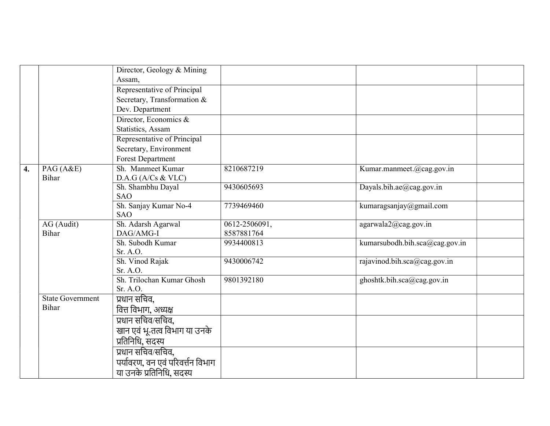|                    |                            | Director, Geology & Mining        |                             |                                                 |
|--------------------|----------------------------|-----------------------------------|-----------------------------|-------------------------------------------------|
|                    |                            | Assam,                            |                             |                                                 |
|                    |                            | Representative of Principal       |                             |                                                 |
|                    |                            | Secretary, Transformation &       |                             |                                                 |
|                    |                            | Dev. Department                   |                             |                                                 |
|                    |                            | Director, Economics $\&$          |                             |                                                 |
|                    |                            | Statistics, Assam                 |                             |                                                 |
|                    |                            | Representative of Principal       |                             |                                                 |
|                    |                            | Secretary, Environment            |                             |                                                 |
|                    |                            | Forest Department                 |                             |                                                 |
| $\boldsymbol{4}$ . | PAG (A&E)                  | Sh. Manmeet Kumar                 | 8210687219                  | Kumar.manmeet.@cag.gov.in                       |
|                    | Bihar                      | D.A.G(A/Cs & VLC)                 |                             |                                                 |
|                    |                            | Sh. Shambhu Dayal                 | 9430605693                  | Dayals.bih.ae@cag.gov.in                        |
|                    |                            | <b>SAO</b>                        |                             |                                                 |
|                    |                            | Sh. Sanjay Kumar No-4             | 7739469460                  | kumaragsanjay@gmail.com                         |
|                    |                            | <b>SAO</b>                        |                             |                                                 |
|                    | AG (Audit)<br><b>Bihar</b> | Sh. Adarsh Agarwal<br>DAG/AMG-I   | 0612-2506091,<br>8587881764 | agarwala2@cag.gov.in                            |
|                    |                            | Sh. Subodh Kumar                  | 9934400813                  | kumarsubodh.bih.sca@cag.gov.in                  |
|                    |                            | Sr. A.O.                          |                             |                                                 |
|                    |                            | Sh. Vinod Rajak                   | 9430006742                  | rajavinod.bih.sca@cag.gov.in                    |
|                    |                            | Sr. A.O.                          |                             |                                                 |
|                    |                            | Sh. Trilochan Kumar Ghosh         | 9801392180                  | $\overline{\text{ghost}}$ tk.bih.sca@cag.gov.in |
|                    |                            | Sr. A.O.                          |                             |                                                 |
|                    | <b>State Government</b>    | प्रधान सचिव,                      |                             |                                                 |
|                    | Bihar                      | वित्त विभाग, अध्यक्ष              |                             |                                                 |
|                    |                            | प्रधान सचिव/सचिव,                 |                             |                                                 |
|                    |                            | खान एवं भू-तत्व विभाग या उनके     |                             |                                                 |
|                    |                            | प्रतिनिधि, संदस्य                 |                             |                                                 |
|                    |                            | प्रधान सचिव/सचिव,                 |                             |                                                 |
|                    |                            | पर्यावरण, वन एवं परिवर्त्तन विभाग |                             |                                                 |
|                    |                            |                                   |                             |                                                 |
|                    |                            | या उनके प्रतिनिधि, सदस्य          |                             |                                                 |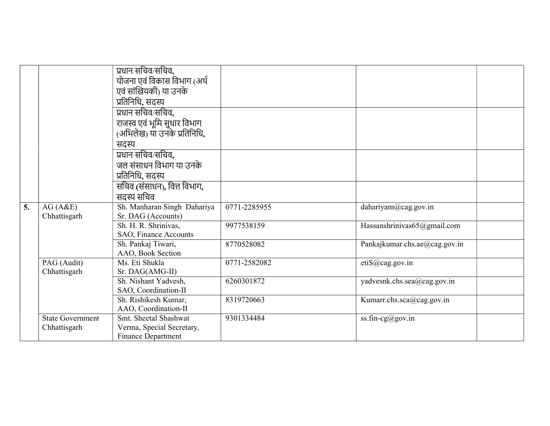|    |                         | प्रधान सचिव⁄सचिव,<br>योजना एवं विकास विभाग (अर्थ           |              |                               |  |
|----|-------------------------|------------------------------------------------------------|--------------|-------------------------------|--|
|    |                         | एवं सांखियकी) या उनके<br>प्रतिनिधि, सदस्य                  |              |                               |  |
|    |                         | प्रधान सचिव/सचिव,                                          |              |                               |  |
|    |                         | राजस्व एवं भूमि सुधार विभाग<br>(अभिलेख) या उनके प्रतिनिधि, |              |                               |  |
|    |                         | सदस्य                                                      |              |                               |  |
|    |                         | प्रधान सचिव⁄सचिव,                                          |              |                               |  |
|    |                         | जल संसाधन विभाग या उनके                                    |              |                               |  |
|    |                         | प्रतिनिधि, सदस्य                                           |              |                               |  |
|    |                         | सचिव (संसाधन), वित्त विभाग,                                |              |                               |  |
|    |                         | सदस्य सचिव                                                 |              |                               |  |
| 5. | AG(A&E)                 | Sh. Manharan Singh Dahariya                                | 0771-2285955 | dahariyam@cag.gov.in          |  |
|    |                         |                                                            |              |                               |  |
|    | Chhattisgarh            | Sr. DAG (Accounts)                                         |              |                               |  |
|    |                         | Sh. H. R. Shrinivas,<br>SAO, Finance Accounts              | 9977538159   | Hassanshrinivas65@gmail.com   |  |
|    |                         | Sh. Pankaj Tiwari,                                         | 8770528082   | Pankajkumar.chs.ae@cag.gov.in |  |
|    | PAG (Audit)             | AAO, Book Section<br>Ms. Eti Shukla                        | 0771-2582082 |                               |  |
|    | Chhattisgarh            | Sr. DAG(AMG-II)                                            |              | etiS@cag.gov.in               |  |
|    |                         | Sh. Nishant Yadvesh,                                       | 6260301872   | yadvesnk.chs.sea@cag.gov.in   |  |
|    |                         | SAO, Coordination-II                                       |              |                               |  |
|    |                         | Sh. Rishikesh Kumar,                                       | 8319720663   | Kumarr.chs.sca@cag.gov.in     |  |
|    |                         | AAO, Coordination-II                                       |              |                               |  |
|    | <b>State Government</b> | Smt. Sheetal Shashwat                                      | 9301334484   | ss.fin-cg@gov.in              |  |
|    | Chhattisgarh            | Verma, Special Secretary,<br>Finance Department            |              |                               |  |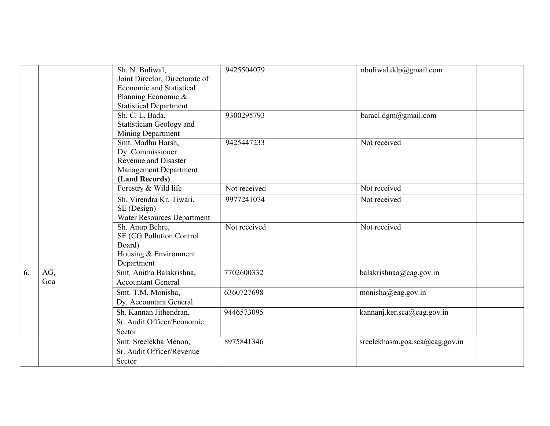|    |            | Sh. N. Buliwal,<br>Joint Director, Directorate of<br>Economic and Statistical<br>Planning Economic &<br><b>Statistical Department</b> | 9425504079   | nbuliwal.ddp@gmail.com         |
|----|------------|---------------------------------------------------------------------------------------------------------------------------------------|--------------|--------------------------------|
|    |            | Sh. C. L. Bada,<br>Statistician Geology and<br>Mining Department                                                                      | 9300295793   | baracl.dgm@gmail.com           |
|    |            | Smt. Madhu Harsh,<br>Dy. Commissioner<br>Revenue and Disaster<br><b>Management Department</b><br>(Land Records)                       | 9425447233   | Not received                   |
|    |            | Forestry & Wild life                                                                                                                  | Not received | Not received                   |
|    |            | Sh. Virendra Kr. Tiwari,<br>SE (Design)<br>Water Resources Department                                                                 | 9977241074   | Not received                   |
|    |            | Sh. Anup Behre,<br>SE (CG Pollution Control<br>Board)<br>Housing & Environment<br>Department                                          | Not received | Not received                   |
| 6. | AG,<br>Goa | Smt. Anitha Balakrishna,<br><b>Accountant General</b>                                                                                 | 7702600332   | balakrishnaa@cag.gov.in        |
|    |            | Smt. T.M. Monisha,<br>Dy. Accountant General                                                                                          | 6360727698   | monisha@eag.gov.in             |
|    |            | Sh. Kannan Jithendran,<br>Sr. Audit Officer/Economic<br>Sector                                                                        | 9446573095   | kannanj.ker.sca@cag.gov.in     |
|    |            | Smt. Sreelekha Menon,<br>Sr. Audit Officer/Revenue<br>Sector                                                                          | 8975841346   | sreelekhasm.goa.sca@cag.gov.in |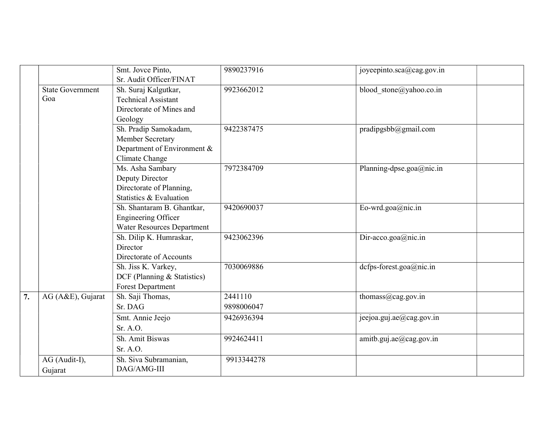|    |                                | Smt. Jovce Pinto,<br>Sr. Audit Officer/FINAT                                                  | 9890237916            | joyeepinto.sca@cag.gov.in |
|----|--------------------------------|-----------------------------------------------------------------------------------------------|-----------------------|---------------------------|
|    | <b>State Government</b><br>Goa | Sh. Suraj Kalgutkar,<br><b>Technical Assistant</b><br>Directorate of Mines and<br>Geology     | 9923662012            | blood stone@yahoo.co.in   |
|    |                                | Sh. Pradip Samokadam,<br>Member Secretary<br>Department of Environment &<br>Climate Change    | 9422387475            | pradipgsbb@gmail.com      |
|    |                                | Ms. Asha Sambary<br>Deputy Director<br>Directorate of Planning,<br>Statistics & Evaluation    | 7972384709            | Planning-dpse.goa@nic.in  |
|    |                                | Sh. Shantaram B. Ghantkar,<br><b>Engineering Officer</b><br><b>Water Resources Department</b> | 9420690037            | Eo-wrd.goa@nic.in         |
|    |                                | Sh. Dilip K. Humraskar,<br>Director<br>Directorate of Accounts                                | 9423062396            | Dir-acco.goa@nic.in       |
|    |                                | Sh. Jiss K. Varkey,<br>DCF (Planning & Statistics)<br>Forest Department                       | 7030069886            | dcfps-forest.goa@nic.in   |
| 7. | AG (A&E), Gujarat              | Sh. Saji Thomas,<br>Sr. DAG                                                                   | 2441110<br>9898006047 | thomass@cag.gov.in        |
|    |                                | Smt. Annie Jeejo<br>Sr. A.O.                                                                  | 9426936394            | jeejoa.guj.ae@cag.gov.in  |
|    |                                | Sh. Amit Biswas<br>Sr. A.O.                                                                   | 9924624411            | amitb.guj.ae@cag.gov.in   |
|    | AG (Audit-I),<br>Gujarat       | Sh. Siva Subramanian,<br>DAG/AMG-III                                                          | 9913344278            |                           |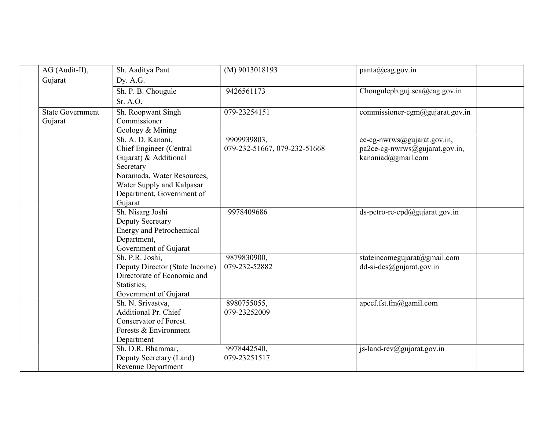| AG (Audit-II),          | Sh. Aaditya Pant                | (M) 9013018193               | panta@cag.gov.in                   |
|-------------------------|---------------------------------|------------------------------|------------------------------------|
| Gujarat                 | Dy. A.G.                        |                              |                                    |
|                         | Sh. P. B. Chougule              | 9426561173                   | Chougulepb.guj.sca@cag.gov.in      |
|                         | Sr. A.O.                        |                              |                                    |
| <b>State Government</b> | Sh. Roopwant Singh              | 079-23254151                 | commissioner-cgm@gujarat.gov.in    |
| Gujarat                 | Commissioner                    |                              |                                    |
|                         | Geology & Mining                |                              |                                    |
|                         | Sh. A. D. Kanani,               | 9909939803,                  | ce-cg-nwrws@gujarat.gov.in,        |
|                         | Chief Engineer (Central         | 079-232-51667, 079-232-51668 | pa2ce-cg-nwrws@gujarat.gov.in,     |
|                         | Gujarat) & Additional           |                              | kananiad@gmail.com                 |
|                         | Secretary                       |                              |                                    |
|                         | Naramada, Water Resources,      |                              |                                    |
|                         | Water Supply and Kalpasar       |                              |                                    |
|                         | Department, Government of       |                              |                                    |
|                         | Gujarat                         |                              |                                    |
|                         | Sh. Nisarg Joshi                | 9978409686                   | ds-petro-re-epd $@$ gujarat.gov.in |
|                         | Deputy Secretary                |                              |                                    |
|                         | <b>Energy and Petrochemical</b> |                              |                                    |
|                         | Department,                     |                              |                                    |
|                         | Government of Gujarat           |                              |                                    |
|                         | Sh. P.R. Joshi,                 | 9879830900,                  | stateincomegujarat@gmail.com       |
|                         | Deputy Director (State Income)  | 079-232-52882                | $dd-si-des@gujarat.gov.in$         |
|                         | Directorate of Economic and     |                              |                                    |
|                         | Statistics,                     |                              |                                    |
|                         | Government of Gujarat           |                              |                                    |
|                         | Sh. N. Srivastva,               | 8980755055,                  | apccf.fst.fm@gamil.com             |
|                         | Additional Pr. Chief            | 079-23252009                 |                                    |
|                         | Conservator of Forest.          |                              |                                    |
|                         | Forests & Environment           |                              |                                    |
|                         | Department                      |                              |                                    |
|                         | Sh. D.R. Bhammar,               | 9978442540,<br>079-23251517  | js-land-rev@gujarat.gov.in         |
|                         | Deputy Secretary (Land)         |                              |                                    |
|                         | <b>Revenue Department</b>       |                              |                                    |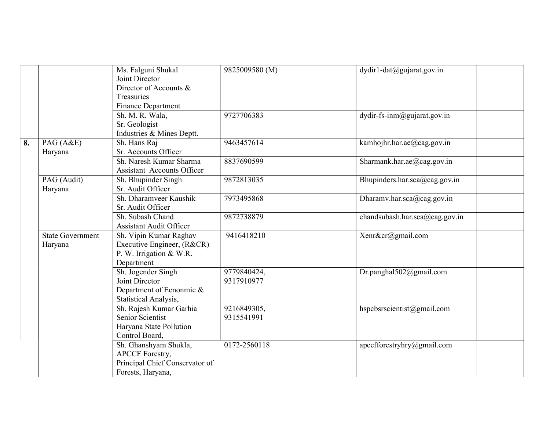|    |                                    | Ms. Falguni Shukal<br>Joint Director<br>Director of Accounts &<br>Treasuries                           | 9825009580 (M)            | dydir1-dat@gujarat.gov.in      |
|----|------------------------------------|--------------------------------------------------------------------------------------------------------|---------------------------|--------------------------------|
|    |                                    | <b>Finance Department</b>                                                                              |                           |                                |
|    |                                    | Sh. M. R. Wala,                                                                                        | 9727706383                | $dydir-fs-imm@gujarat.gov.in$  |
|    |                                    | Sr. Geologist                                                                                          |                           |                                |
|    |                                    | Industries & Mines Deptt.                                                                              |                           |                                |
| 8. | $\overline{PAG(A\&E)}$             | Sh. Hans Raj                                                                                           | 9463457614                | kamhojhr.har.ae@cag.gov.in     |
|    | Haryana                            | Sr. Accounts Officer                                                                                   |                           |                                |
|    |                                    | Sh. Naresh Kumar Sharma<br><b>Assistant Accounts Officer</b>                                           | 8837690599                | Sharmank.har.ae@cag.gov.in     |
|    | PAG (Audit)<br>Haryana             | Sh. Bhupinder Singh<br>Sr. Audit Officer                                                               | 9872813035                | Bhupinders.har.sca@cag.gov.in  |
|    |                                    | Sh. Dharamveer Kaushik<br>Sr. Audit Officer                                                            | 7973495868                | Dharamv.har.sca@cag.gov.in     |
|    |                                    | Sh. Subash Chand<br><b>Assistant Audit Officer</b>                                                     | 9872738879                | chandsubash.har.sca@cag.gov.in |
|    | <b>State Government</b><br>Haryana | Sh. Vipin Kumar Raghav<br>Executive Engineer, (R&CR)<br>P. W. Irrigation & W.R.<br>Department          | 9416418210                | Xenr&cr@gmail.com              |
|    |                                    | Sh. Jogender Singh<br>Joint Director<br>Department of Ecnonmic &<br>Statistical Analysis,              | 9779840424,<br>9317910977 | Dr.panghal502@gmail.com        |
|    |                                    | Sh. Rajesh Kumar Garhia<br>Senior Scientist<br>Haryana State Pollution<br>Control Board,               | 9216849305,<br>9315541991 | hspebsrscientist@gmail.com     |
|    |                                    | Sh. Ghanshyam Shukla,<br><b>APCCF</b> Forestry,<br>Principal Chief Conservator of<br>Forests, Haryana, | 0172-2560118              | apccfforestryhry@gmail.com     |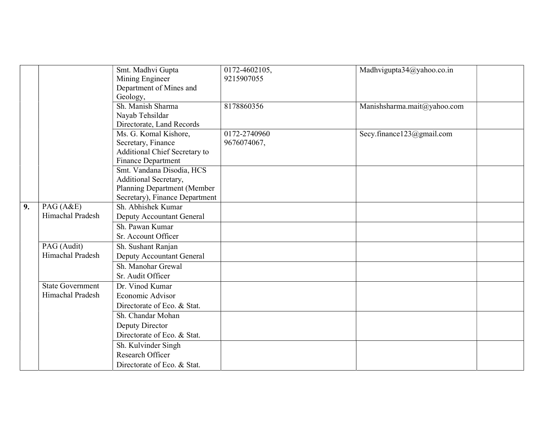|    |                         | Smt. Madhvi Gupta              | 0172-4602105, | Madhvigupta34@yahoo.co.in   |
|----|-------------------------|--------------------------------|---------------|-----------------------------|
|    |                         | Mining Engineer                | 9215907055    |                             |
|    |                         | Department of Mines and        |               |                             |
|    |                         | Geology,                       |               |                             |
|    |                         | Sh. Manish Sharma              | 8178860356    | Manishsharma.mait@yahoo.com |
|    |                         | Nayab Tehsildar                |               |                             |
|    |                         | Directorate, Land Records      |               |                             |
|    |                         | Ms. G. Komal Kishore,          | 0172-2740960  | Secy.finance123@gmail.com   |
|    |                         | Secretary, Finance             | 9676074067,   |                             |
|    |                         | Additional Chief Secretary to  |               |                             |
|    |                         | Finance Department             |               |                             |
|    |                         | Smt. Vandana Disodia, HCS      |               |                             |
|    |                         | Additional Secretary,          |               |                             |
|    |                         | Planning Department (Member    |               |                             |
|    |                         | Secretary), Finance Department |               |                             |
| 9. | PAG $(A&E)$             | Sh. Abhishek Kumar             |               |                             |
|    | Himachal Pradesh        | Deputy Accountant General      |               |                             |
|    |                         | Sh. Pawan Kumar                |               |                             |
|    |                         | Sr. Account Officer            |               |                             |
|    | PAG (Audit)             | Sh. Sushant Ranjan             |               |                             |
|    | Himachal Pradesh        | Deputy Accountant General      |               |                             |
|    |                         | Sh. Manohar Grewal             |               |                             |
|    |                         | Sr. Audit Officer              |               |                             |
|    | <b>State Government</b> | Dr. Vinod Kumar                |               |                             |
|    | Himachal Pradesh        | Economic Advisor               |               |                             |
|    |                         | Directorate of Eco. & Stat.    |               |                             |
|    |                         | Sh. Chandar Mohan              |               |                             |
|    |                         | Deputy Director                |               |                             |
|    |                         | Directorate of Eco. & Stat.    |               |                             |
|    |                         | Sh. Kulvinder Singh            |               |                             |
|    |                         | Research Officer               |               |                             |
|    |                         | Directorate of Eco. & Stat.    |               |                             |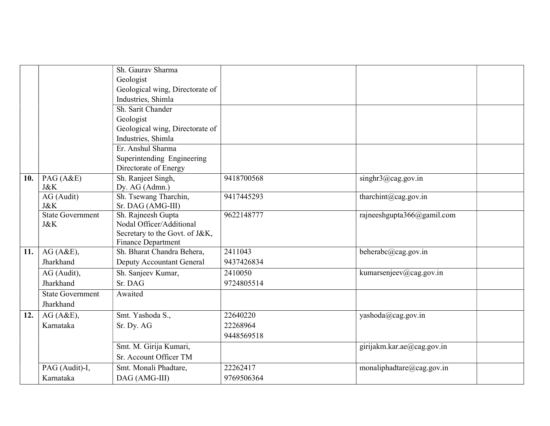|     |                         | Sh. Gauray Sharma                                       |            |                            |
|-----|-------------------------|---------------------------------------------------------|------------|----------------------------|
|     |                         | Geologist                                               |            |                            |
|     |                         | Geological wing, Directorate of                         |            |                            |
|     |                         | Industries, Shimla                                      |            |                            |
|     |                         | Sh. Sarit Chander                                       |            |                            |
|     |                         | Geologist                                               |            |                            |
|     |                         | Geological wing, Directorate of                         |            |                            |
|     |                         | Industries, Shimla                                      |            |                            |
|     |                         | Er. Anshul Sharma                                       |            |                            |
|     |                         | Superintending Engineering                              |            |                            |
|     |                         | Directorate of Energy                                   |            |                            |
| 10. | PAG(A&E)                | Sh. Ranjeet Singh,                                      | 9418700568 | singhr3@cag.gov.in         |
|     | <b>J&amp;K</b>          | Dy. AG (Admn.)                                          |            |                            |
|     | AG (Audit)              | Sh. Tsewang Tharchin,                                   | 9417445293 | tharchint@cag.gov.in       |
|     | <b>J&amp;K</b>          | Sr. DAG (AMG-III)                                       |            |                            |
|     | <b>State Government</b> | Sh. Rajneesh Gupta                                      | 9622148777 | rajneeshgupta366@gamil.com |
|     | J&K                     | Nodal Officer/Additional                                |            |                            |
|     |                         | Secretary to the Govt. of J&K,                          |            |                            |
|     | AG(A&E),                | <b>Finance Department</b><br>Sh. Bharat Chandra Behera, | 2411043    | beherabc@cag.gov.in        |
| 11. |                         |                                                         |            |                            |
|     | Jharkhand               | Deputy Accountant General                               | 9437426834 |                            |
|     | AG (Audit),             | Sh. Sanjeev Kumar,                                      | 2410050    | kumarsenjeev@cag.gov.in    |
|     | Jharkhand               | Sr. DAG                                                 | 9724805514 |                            |
|     | <b>State Government</b> | Awaited                                                 |            |                            |
|     | Jharkhand               |                                                         |            |                            |
| 12. | AG(A&E),                | Smt. Yashoda S.,                                        | 22640220   | yashoda@cag.gov.in         |
|     | Karnataka               | Sr. Dy. AG                                              | 22268964   |                            |
|     |                         |                                                         | 9448569518 |                            |
|     |                         | Smt. M. Girija Kumari,                                  |            | girijakm.kar.ae@cag.gov.in |
|     |                         | Sr. Account Officer TM                                  |            |                            |
|     | PAG (Audit)-I,          | Smt. Monali Phadtare,                                   | 22262417   | monaliphadtare@cag.gov.in  |
|     | Karnataka               | DAG (AMG-III)                                           | 9769506364 |                            |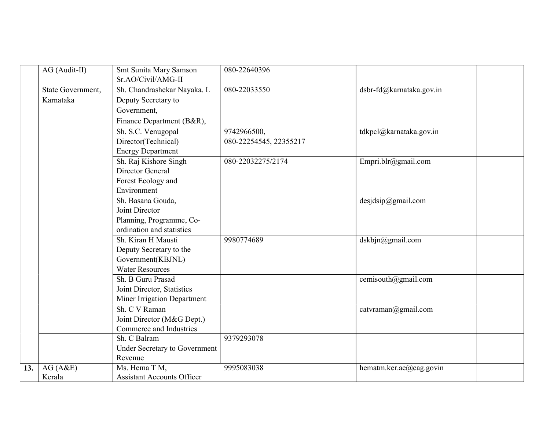|     | AG (Audit-II)     | Smt Sunita Mary Samson               | 080-22640396           |                          |
|-----|-------------------|--------------------------------------|------------------------|--------------------------|
|     |                   | Sr.AO/Civil/AMG-II                   |                        |                          |
|     | State Government, | Sh. Chandrashekar Nayaka. L          | 080-22033550           | dsbr-fd@karnataka.gov.in |
|     | Karnataka         | Deputy Secretary to                  |                        |                          |
|     |                   | Government,                          |                        |                          |
|     |                   | Finance Department (B&R),            |                        |                          |
|     |                   | Sh. S.C. Venugopal                   | 9742966500,            | tdkpcl@karnataka.gov.in  |
|     |                   | Director(Technical)                  | 080-22254545, 22355217 |                          |
|     |                   | <b>Energy Department</b>             |                        |                          |
|     |                   | Sh. Raj Kishore Singh                | 080-22032275/2174      | Empri.blr@gmail.com      |
|     |                   | Director General                     |                        |                          |
|     |                   | Forest Ecology and                   |                        |                          |
|     |                   | Environment                          |                        |                          |
|     |                   | Sh. Basana Gouda,                    |                        | desjdsip@gmail.com       |
|     |                   | Joint Director                       |                        |                          |
|     |                   | Planning, Programme, Co-             |                        |                          |
|     |                   | ordination and statistics            |                        |                          |
|     |                   | Sh. Kiran H Mausti                   | 9980774689             | dskbjn@gmail.com         |
|     |                   | Deputy Secretary to the              |                        |                          |
|     |                   | Government(KBJNL)                    |                        |                          |
|     |                   | <b>Water Resources</b>               |                        |                          |
|     |                   | Sh. B Guru Prasad                    |                        | cemisouth@gmail.com      |
|     |                   | Joint Director, Statistics           |                        |                          |
|     |                   | Miner Irrigation Department          |                        |                          |
|     |                   | Sh. C V Raman                        |                        | catvraman@gmail.com      |
|     |                   | Joint Director (M&G Dept.)           |                        |                          |
|     |                   | Commerce and Industries              |                        |                          |
|     |                   | Sh. C Balram                         | 9379293078             |                          |
|     |                   | <b>Under Secretary to Government</b> |                        |                          |
|     |                   | Revenue                              |                        |                          |
| 13. | AG(A&E)           | Ms. Hema T M,                        | 9995083038             | hematm.ker.ae@cag.govin  |
|     | Kerala            | <b>Assistant Accounts Officer</b>    |                        |                          |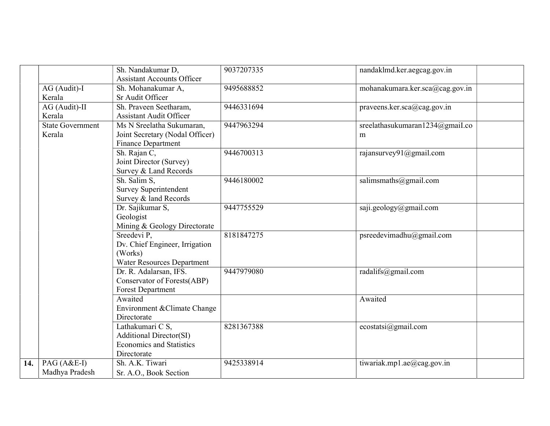|     |                         | Sh. Nandakumar D,                 | 9037207335 | nandaklmd.ker.aegcag.gov.in     |
|-----|-------------------------|-----------------------------------|------------|---------------------------------|
|     |                         | <b>Assistant Accounts Officer</b> |            |                                 |
|     | AG (Audit)-I            | Sh. Mohanakumar A,                | 9495688852 | mohanakumara.ker.sca@cag.gov.in |
|     | Kerala                  | Sr Audit Officer                  |            |                                 |
|     | AG (Audit)-II           | Sh. Praveen Seetharam,            | 9446331694 | praveens.ker.sca@cag.gov.in     |
|     | Kerala                  | <b>Assistant Audit Officer</b>    |            |                                 |
|     | <b>State Government</b> | Ms N Sreelatha Sukumaran,         | 9447963294 | sreelathasukumaran1234@gmaiI.co |
|     | Kerala                  | Joint Secretary (Nodal Officer)   |            | m                               |
|     |                         | <b>Finance Department</b>         |            |                                 |
|     |                         | Sh. Rajan C,                      | 9446700313 | rajansurvey $91@g$ mail.com     |
|     |                         | Joint Director (Survey)           |            |                                 |
|     |                         | Survey & Land Records             |            |                                 |
|     |                         | Sh. Salim S,                      | 9446180002 | salimsmaths@gmail.com           |
|     |                         | <b>Survey Superintendent</b>      |            |                                 |
|     |                         | Survey & land Records             |            |                                 |
|     |                         | Dr. Sajikumar S,                  | 9447755529 | saji.geology@gmail.com          |
|     |                         | Geologist                         |            |                                 |
|     |                         | Mining & Geology Directorate      |            |                                 |
|     |                         | Sreedevi P,                       | 8181847275 | psreedevimadhu@gmail.com        |
|     |                         | Dv. Chief Engineer, Irrigation    |            |                                 |
|     |                         | (Works)                           |            |                                 |
|     |                         | Water Resources Department        |            |                                 |
|     |                         | Dr. R. Adalarsan, IFS.            | 9447979080 | radalifs@gmail.com              |
|     |                         | Conservator of Forests(ABP)       |            |                                 |
|     |                         | Forest Department                 |            |                                 |
|     |                         | Awaited                           |            | Awaited                         |
|     |                         | Environment & Climate Change      |            |                                 |
|     |                         | Directorate                       |            |                                 |
|     |                         | Lathakumari C S,                  | 8281367388 | ecostatsi@gmail.com             |
|     |                         | <b>Additional Director(SI)</b>    |            |                                 |
|     |                         | <b>Economics and Statistics</b>   |            |                                 |
|     |                         | Directorate                       |            |                                 |
| 14. | PAG (A&E-I)             | Sh. A.K. Tiwari                   | 9425338914 | tiwariak.mp1.ae $@$ cag.gov.in  |
|     | Madhya Pradesh          | Sr. A.O., Book Section            |            |                                 |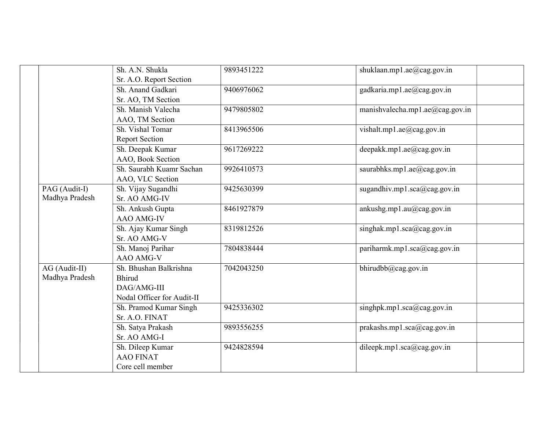|                | Sh. A.N. Shukla            | 9893451222 | shuklaan.mp1.ae@cag.gov.in              |
|----------------|----------------------------|------------|-----------------------------------------|
|                | Sr. A.O. Report Section    |            |                                         |
|                | Sh. Anand Gadkari          | 9406976062 | gadkaria.mp1.ae@cag.gov.in              |
|                | Sr. AO, TM Section         |            |                                         |
|                | Sh. Manish Valecha         | 9479805802 | manishvalecha.mp1.ae@cag.gov.in         |
|                | AAO, TM Section            |            |                                         |
|                | Sh. Vishal Tomar           | 8413965506 | vishalt.mp1.ae@cag.gov.in               |
|                | <b>Report Section</b>      |            |                                         |
|                | Sh. Deepak Kumar           | 9617269222 | deepakk.mp1.ae@cag.gov.in               |
|                | AAO, Book Section          |            |                                         |
|                | Sh. Saurabh Kuamr Sachan   | 9926410573 | saurabhks.mpl.ae $@$ cag.gov.in         |
|                | AAO, VLC Section           |            |                                         |
| PAG (Audit-I)  | Sh. Vijay Sugandhi         | 9425630399 | sugandhiv.mp1.sca@cag.gov.in            |
| Madhya Pradesh | Sr. AO AMG-IV              |            |                                         |
|                | Sh. Ankush Gupta           | 8461927879 | ankushg.mp1.au $(\omega)$ cag.gov.in    |
|                | AAO AMG-IV                 |            |                                         |
|                | Sh. Ajay Kumar Singh       | 8319812526 | singhak.mp1.sca@cag.gov.in              |
|                | Sr. AO AMG-V               |            |                                         |
|                | Sh. Manoj Parihar          | 7804838444 | pariharmk.mp1.sca@cag.gov.in            |
|                | AAO AMG-V                  |            |                                         |
| AG (Audit-II)  | Sh. Bhushan Balkrishna     | 7042043250 | $\overline{\text{bhirudbb@cag.gov.in}}$ |
| Madhya Pradesh | <b>Bhirud</b>              |            |                                         |
|                | DAG/AMG-III                |            |                                         |
|                | Nodal Officer for Audit-II |            |                                         |
|                | Sh. Pramod Kumar Singh     | 9425336302 | singhpk.mp1.sca@cag.gov.in              |
|                | Sr. A.O. FINAT             |            |                                         |
|                | Sh. Satya Prakash          | 9893556255 | prakashs.mp1.sca@cag.gov.in             |
|                | Sr. AO AMG-I               |            |                                         |
|                | Sh. Dileep Kumar           | 9424828594 | dileepk.mp1.sca@cag.gov.in              |
|                | <b>AAO FINAT</b>           |            |                                         |
|                | Core cell member           |            |                                         |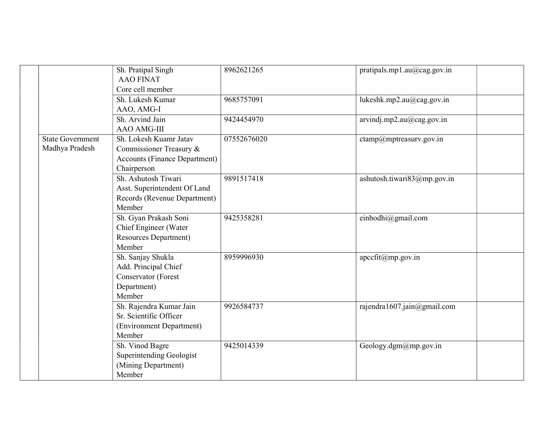|                                           | Sh. Pratipal Singh<br><b>AAO FINAT</b><br>Core cell member                                               | 8962621265  | pratipals.mp1.au@cag.gov.in     |
|-------------------------------------------|----------------------------------------------------------------------------------------------------------|-------------|---------------------------------|
|                                           | Sh. Lukesh Kumar<br>AAO, AMG-I                                                                           | 9685757091  | lukeshk.mp2.au@cag.gov.in       |
|                                           | Sh. Arvind Jain<br><b>AAO AMG-III</b>                                                                    | 9424454970  | arvindj.mp2.au@cag.gov.in       |
| <b>State Government</b><br>Madhya Pradesh | Sh. Lokesh Kuamr Jatav<br>Commissioner Treasury &<br><b>Accounts (Finance Department)</b><br>Chairperson | 07552676020 | ctamp@mptreasurv.gov.in         |
|                                           | Sh. Ashutosh Tiwari<br>Asst. Superintendent Of Land<br>Records (Revenue Department)<br>Member            | 9891517418  | ashutosh.tiwari $83@$ mp.gov.in |
|                                           | Sh. Gyan Prakash Soni<br>Chief Engineer (Water<br><b>Resources Department)</b><br>Member                 | 9425358281  | einbodhi@gmail.com              |
|                                           | Sh. Sanjay Shukla<br>Add. Principal Chief<br>Conservator (Forest<br>Department)<br>Member                | 8959996930  | $apccfit(\omega_{mp.gov.in})$   |
|                                           | Sh. Rajendra Kumar Jain<br>Sr. Scientific Officer<br>(Environment Department)<br>Member                  | 9926584737  | rajendra1607.jain@gmail.com     |
|                                           | Sh. Vinod Bagre<br>Superintending Geologist<br>(Mining Department)<br>Member                             | 9425014339  | Geology.dgm $@$ mp.gov.in       |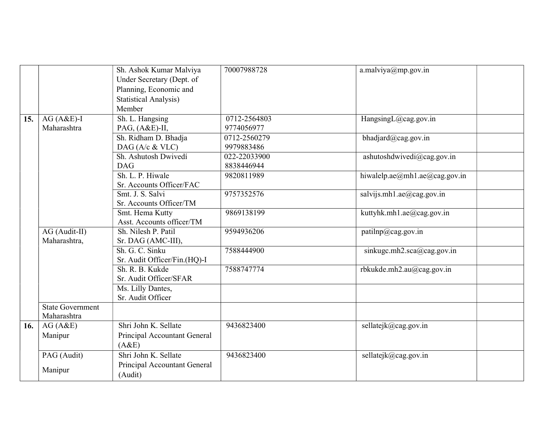|     |                                        | Sh. Ashok Kumar Malviya<br>Under Secretary (Dept. of<br>Planning, Economic and<br><b>Statistical Analysis)</b><br>Member | 70007988728                | $a$ .malviya@mp.gov.in                              |
|-----|----------------------------------------|--------------------------------------------------------------------------------------------------------------------------|----------------------------|-----------------------------------------------------|
| 15. | $AG(A&E)-I$<br>Maharashtra             | Sh. L. Hangsing<br>PAG, (A&E)-II,                                                                                        | 0712-2564803<br>9774056977 | HangsingL@cag.gov.in                                |
|     |                                        | Sh. Ridham D. Bhadja<br>DAG (A/c & VLC)                                                                                  | 0712-2560279<br>9979883486 | bhadjard@cag.gov.in                                 |
|     |                                        | Sh. Ashutosh Dwivedí<br><b>DAG</b>                                                                                       | 022-22033900<br>8838446944 | ashutoshdwivedi@cag.gov.in                          |
|     |                                        | Sh. L. P. Hiwale<br>Sr. Accounts Officer/FAC                                                                             | 9820811989                 | hiwalelp.ae $(\omega)$ mhl.ae $(\omega)$ cag.gov.in |
|     |                                        | Smt. J. S. Salvi<br>Sr. Accounts Officer/TM                                                                              | 9757352576                 | salvijs.mh1.ae@cag.gov.in                           |
|     |                                        | Smt. Hema Kutty<br>Asst. Accounts officer/TM                                                                             | 9869138199                 | kuttyhk.mh1.ae@cag.gov.in                           |
|     | AG (Audit-II)<br>Maharashtra,          | Sh. Nilesh P. Patil<br>Sr. DAG (AMC-III),                                                                                | 9594936206                 | patilnp@cag.gov.in                                  |
|     |                                        | Sh. G. C. Sinku<br>Sr. Audit Officer/Fin.(HQ)-I                                                                          | 7588444900                 | sinkuge.mh2.sca@cag.gov.in                          |
|     |                                        | Sh. R. B. Kukde<br>Sr. Audit Officer/SFAR                                                                                | 7588747774                 | rbkukde.mh2.au@cag.gov.in                           |
|     |                                        | Ms. Lilly Dantes,<br>Sr. Audit Officer                                                                                   |                            |                                                     |
|     | <b>State Government</b><br>Maharashtra |                                                                                                                          |                            |                                                     |
| 16. | AG(A&E)<br>Manipur                     | Shri John K. Sellate<br>Principal Accountant General<br>(A&E)                                                            | 9436823400                 | sellatejk@cag.gov.in                                |
|     | PAG (Audit)<br>Manipur                 | Shri John K. Sellate<br>Principal Accountant General<br>(Audit)                                                          | 9436823400                 | sellatejk@cag.gov.in                                |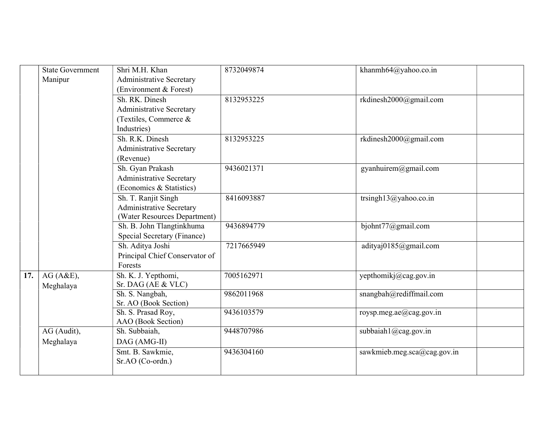|     | <b>State Government</b> | Shri M.H. Khan                  | 8732049874 | khanmh64@yahoo.co.in        |
|-----|-------------------------|---------------------------------|------------|-----------------------------|
|     | Manipur                 | Administrative Secretary        |            |                             |
|     |                         | (Environment & Forest)          |            |                             |
|     |                         | Sh. RK. Dinesh                  | 8132953225 | rkdinesh2000@gmail.com      |
|     |                         | <b>Administrative Secretary</b> |            |                             |
|     |                         | (Textiles, Commerce &           |            |                             |
|     |                         | Industries)                     |            |                             |
|     |                         | Sh. R.K. Dinesh                 | 8132953225 | rkdinesh2000@gmail.com      |
|     |                         | <b>Administrative Secretary</b> |            |                             |
|     |                         | (Revenue)                       |            |                             |
|     |                         | Sh. Gyan Prakash                | 9436021371 | gyanhuirem@gmail.com        |
|     |                         | <b>Administrative Secretary</b> |            |                             |
|     |                         | (Economics & Statistics)        |            |                             |
|     |                         | Sh. T. Ranjit Singh             | 8416093887 | trsingh13@yahoo.co.in       |
|     |                         | <b>Administrative Secretary</b> |            |                             |
|     |                         | (Water Resources Department)    |            |                             |
|     |                         | Sh. B. John Tlangtinkhuma       | 9436894779 | bjohnt77@gmail.com          |
|     |                         | Special Secretary (Finance)     |            |                             |
|     |                         | Sh. Aditya Joshi                | 7217665949 | adityaj0185@gmail.com       |
|     |                         | Principal Chief Conservator of  |            |                             |
|     |                         | Forests                         |            |                             |
| 17. | AG(A&E),                | Sh. K. J. Yepthomi,             | 7005162971 | yepthomikj@cag.gov.in       |
|     | Meghalaya               | Sr. DAG (AE & VLC)              |            |                             |
|     |                         | Sh. S. Nangbah,                 | 9862011968 | snangbah@rediffmail.com     |
|     |                         | Sr. AO (Book Section)           |            |                             |
|     |                         | Sh. S. Prasad Roy,              | 9436103579 | roysp.meg.ae@cag.gov.in     |
|     |                         | AAO (Book Section)              |            |                             |
|     | AG (Audit),             | Sh. Subbaiah,                   | 9448707986 | subbaiah1@cag.gov.in        |
|     | Meghalaya               | DAG (AMG-II)                    |            |                             |
|     |                         | Smt. B. Sawkmie,                | 9436304160 | sawkmieb.meg.sca@cag.gov.in |
|     |                         | Sr.AO (Co-ordn.)                |            |                             |
|     |                         |                                 |            |                             |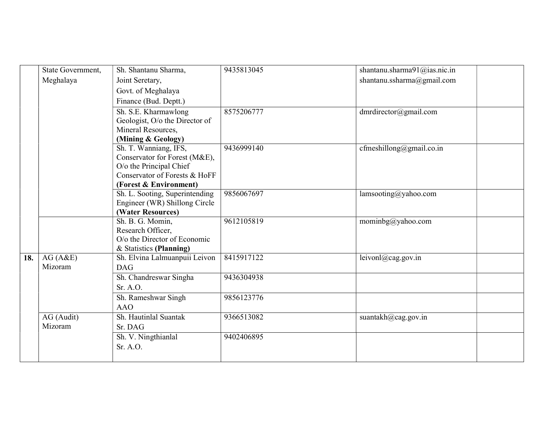|     | State Government, | Sh. Shantanu Sharma,                                     | 9435813045 | shantanu.sharma91@ias.nic.in |
|-----|-------------------|----------------------------------------------------------|------------|------------------------------|
|     | Meghalaya         | Joint Seretary,                                          |            | shantanu.ssharma@gmail.com   |
|     |                   | Govt. of Meghalaya                                       |            |                              |
|     |                   | Finance (Bud. Deptt.)                                    |            |                              |
|     |                   | Sh. S.E. Kharmawlong                                     | 8575206777 | dmrdirector@gmail.com        |
|     |                   | Geologist, O/o the Director of                           |            |                              |
|     |                   | Mineral Resources,                                       |            |                              |
|     |                   | (Mining & Geology)                                       |            |                              |
|     |                   | Sh. T. Wanniang, IFS,                                    | 9436999140 | cfmeshillong@gmail.co.in     |
|     |                   | Conservator for Forest (M&E),                            |            |                              |
|     |                   | O/o the Principal Chief                                  |            |                              |
|     |                   | Conservator of Forests & HoFF                            |            |                              |
|     |                   | (Forest & Environment)                                   |            |                              |
|     |                   | Sh. L. Sooting, Superintending                           | 9856067697 | lamsooting@yahoo.com         |
|     |                   | Engineer (WR) Shillong Circle                            |            |                              |
|     |                   | (Water Resources)                                        |            |                              |
|     |                   | Sh. B. G. Momin,                                         | 9612105819 | mominbg@yahoo.com            |
|     |                   | Research Officer,                                        |            |                              |
|     |                   | O/o the Director of Economic                             |            |                              |
| 18. | AG(A&E)           | & Statistics (Planning)<br>Sh. Elvina Lalmuanpuii Leivon | 8415917122 | leivonl@cag.gov.in           |
|     | Mizoram           | DAG                                                      |            |                              |
|     |                   | Sh. Chandreswar Singha                                   | 9436304938 |                              |
|     |                   | Sr. A.O.                                                 |            |                              |
|     |                   | Sh. Rameshwar Singh                                      | 9856123776 |                              |
|     |                   | <b>AAO</b>                                               |            |                              |
|     | AG (Audit)        | Sh. Hautinlal Suantak                                    | 9366513082 | suantakh@cag.gov.in          |
|     | Mizoram           | Sr. DAG                                                  |            |                              |
|     |                   | Sh. V. Ningthianlal                                      | 9402406895 |                              |
|     |                   | Sr. A.O.                                                 |            |                              |
|     |                   |                                                          |            |                              |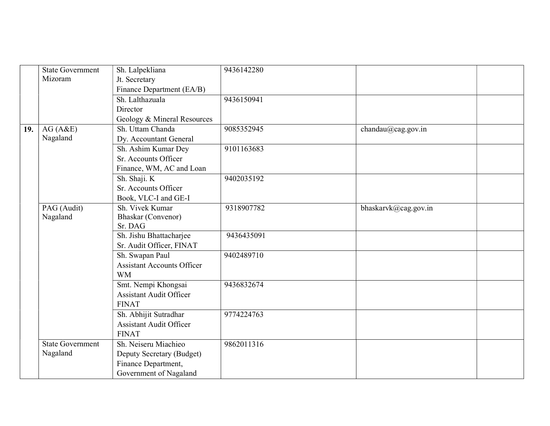|     | <b>State Government</b><br>Mizoram | Sh. Lalpekliana<br>Jt. Secretary  | 9436142280 |                      |
|-----|------------------------------------|-----------------------------------|------------|----------------------|
|     |                                    | Finance Department (EA/B)         |            |                      |
|     |                                    | Sh. Lalthazuala                   | 9436150941 |                      |
|     |                                    | Director                          |            |                      |
|     |                                    | Geology & Mineral Resources       |            |                      |
| 19. | AG(A&E)                            | Sh. Uttam Chanda                  | 9085352945 | chandau@cag.gov.in   |
|     | Nagaland                           | Dy. Accountant General            |            |                      |
|     |                                    | Sh. Ashim Kumar Dey               | 9101163683 |                      |
|     |                                    | Sr. Accounts Officer              |            |                      |
|     |                                    | Finance, WM, AC and Loan          |            |                      |
|     |                                    | Sh. Shaji. K                      | 9402035192 |                      |
|     |                                    | Sr. Accounts Officer              |            |                      |
|     |                                    | Book, VLC-I and GE-I              |            |                      |
|     | PAG (Audit)                        | Sh. Vivek Kumar                   | 9318907782 | bhaskarvk@cag.gov.in |
|     | Nagaland                           | Bhaskar (Convenor)                |            |                      |
|     |                                    | Sr. DAG                           |            |                      |
|     |                                    | Sh. Jishu Bhattacharjee           | 9436435091 |                      |
|     |                                    | Sr. Audit Officer, FINAT          |            |                      |
|     |                                    | Sh. Swapan Paul                   | 9402489710 |                      |
|     |                                    | <b>Assistant Accounts Officer</b> |            |                      |
|     |                                    | <b>WM</b>                         |            |                      |
|     |                                    | Smt. Nempi Khongsai               | 9436832674 |                      |
|     |                                    | <b>Assistant Audit Officer</b>    |            |                      |
|     |                                    | <b>FINAT</b>                      |            |                      |
|     |                                    | Sh. Abhijit Sutradhar             | 9774224763 |                      |
|     |                                    | <b>Assistant Audit Officer</b>    |            |                      |
|     |                                    | <b>FINAT</b>                      |            |                      |
|     | <b>State Government</b>            | Sh. Neiseru Miachieo              | 9862011316 |                      |
|     | Nagaland                           | Deputy Secretary (Budget)         |            |                      |
|     |                                    | Finance Department,               |            |                      |
|     |                                    | Government of Nagaland            |            |                      |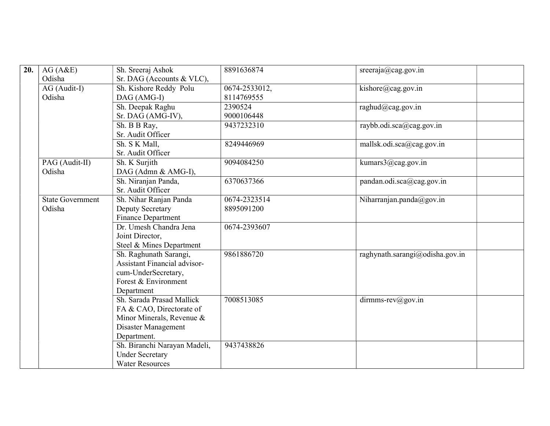| 20. | AG(A&E)                 | Sh. Sreeraj Ashok                   | 8891636874    | sreeraja@cag.gov.in             |
|-----|-------------------------|-------------------------------------|---------------|---------------------------------|
|     | Odisha                  | Sr. DAG (Accounts & VLC),           |               |                                 |
|     | AG (Audit-I)            | Sh. Kishore Reddy Polu              | 0674-2533012, | kishore@cag.gov.in              |
|     | Odisha                  | DAG (AMG-I)                         | 8114769555    |                                 |
|     |                         | Sh. Deepak Raghu                    | 2390524       | raghud@cag.gov.in               |
|     |                         | Sr. DAG (AMG-IV),                   | 9000106448    |                                 |
|     |                         | Sh. B B Ray,                        | 9437232310    | raybb.odi.sca@cag.gov.in        |
|     |                         | Sr. Audit Officer                   |               |                                 |
|     |                         | Sh. S K Mall,                       | 8249446969    | mallsk.odi.sca@cag.gov.in       |
|     |                         | Sr. Audit Officer                   |               |                                 |
|     | PAG (Audit-II)          | Sh. K Surjith                       | 9094084250    | kumars3@cag.gov.in              |
|     | Odisha                  | DAG (Admn & AMG-I),                 |               |                                 |
|     |                         | Sh. Niranjan Panda,                 | 6370637366    | pandan.odi.sca@cag.gov.in       |
|     |                         | Sr. Audit Officer                   |               |                                 |
|     | <b>State Government</b> | Sh. Nihar Ranjan Panda              | 0674-2323514  | Niharranjan.panda@gov.in        |
|     | Odisha                  | Deputy Secretary                    | 8895091200    |                                 |
|     |                         | Finance Department                  |               |                                 |
|     |                         | Dr. Umesh Chandra Jena              | 0674-2393607  |                                 |
|     |                         | Joint Director,                     |               |                                 |
|     |                         | Steel & Mines Department            |               |                                 |
|     |                         | Sh. Raghunath Sarangi,              | 9861886720    | raghynath.sarangi@odisha.gov.in |
|     |                         | <b>Assistant Financial advisor-</b> |               |                                 |
|     |                         | cum-UnderSecretary,                 |               |                                 |
|     |                         | Forest & Environment                |               |                                 |
|     |                         | Department                          |               |                                 |
|     |                         | Sh. Sarada Prasad Mallick           | 7008513085    | $d$ irmms-rev $(a)$ gov.in      |
|     |                         | FA & CAO, Directorate of            |               |                                 |
|     |                         | Minor Minerals, Revenue &           |               |                                 |
|     |                         | Disaster Management                 |               |                                 |
|     |                         | Department.                         |               |                                 |
|     |                         | Sh. Biranchi Narayan Madeli,        | 9437438826    |                                 |
|     |                         | <b>Under Secretary</b>              |               |                                 |
|     |                         | <b>Water Resources</b>              |               |                                 |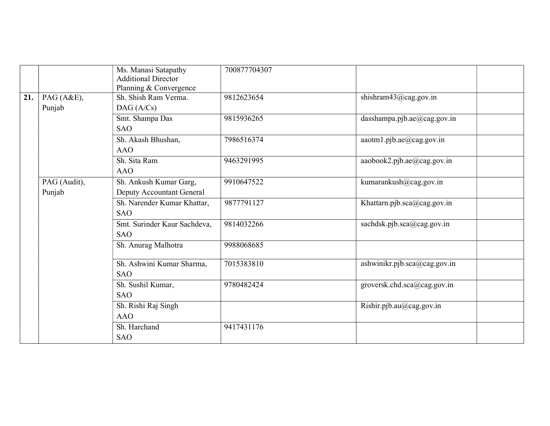|     |              | Ms. Manasi Satapathy<br><b>Additional Director</b><br>Planning & Convergence | 700877704307 |                              |
|-----|--------------|------------------------------------------------------------------------------|--------------|------------------------------|
| 21. | PAG (A&E),   | Sh. Shish Ram Verma.                                                         | 9812623654   | shishram43@cag.gov.in        |
|     | Punjab       | DAG(A/Cs)                                                                    |              |                              |
|     |              | Smt. Shampa Das                                                              | 9815936265   | dasshampa.pjb.ae@cag.gov.in  |
|     |              | <b>SAO</b>                                                                   |              |                              |
|     |              | Sh. Akash Bhushan,                                                           | 7986516374   | aaotm1.pjb.ae@cag.gov.in     |
|     |              | <b>AAO</b>                                                                   |              |                              |
|     |              | Sh. Sita Ram                                                                 | 9463291995   | aaobook2.pjb.ae@cag.gov.in   |
|     |              | <b>AAO</b>                                                                   |              |                              |
|     | PAG (Audit), | Sh. Ankush Kumar Garg,                                                       | 9910647522   | kumarankush@cag.gov.in       |
|     | Punjab       | Deputy Accountant General                                                    |              |                              |
|     |              | Sh. Narender Kumar Khattar,                                                  | 9877791127   | Khattarn.pjb.sca@cag.gov.in  |
|     |              | <b>SAO</b>                                                                   |              |                              |
|     |              | Smt. Surinder Kaur Sachdeva,                                                 | 9814032266   | sachdsk.pjb.sca@cag.gov.in   |
|     |              | <b>SAO</b>                                                                   |              |                              |
|     |              | Sh. Anurag Malhotra                                                          | 9988068685   |                              |
|     |              |                                                                              |              |                              |
|     |              | Sh. Ashwini Kumar Sharma,                                                    | 7015383810   | ashwinikr.pjb.sca@cag.gov.in |
|     |              | <b>SAO</b>                                                                   |              |                              |
|     |              | Sh. Sushil Kumar,                                                            | 9780482424   | groversk.chd.sca@cag.gov.in  |
|     |              | <b>SAO</b>                                                                   |              |                              |
|     |              | Sh. Rishi Raj Singh                                                          |              | Rishir.pjb.au@cag.gov.in     |
|     |              | <b>AAO</b>                                                                   |              |                              |
|     |              | Sh. Harchand                                                                 | 9417431176   |                              |
|     |              | <b>SAO</b>                                                                   |              |                              |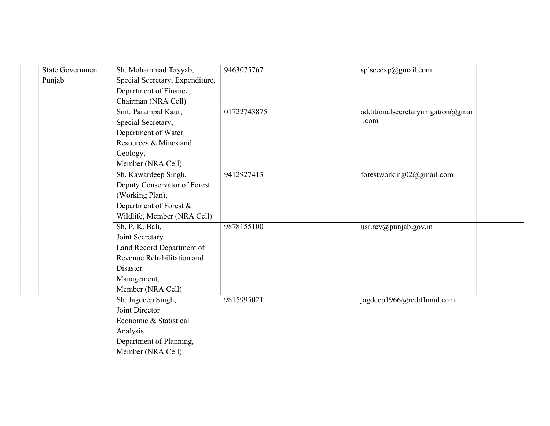| <b>State Government</b> | Sh. Mohammad Tayyab,            | 9463075767  | splsecexp@gmail.com                |
|-------------------------|---------------------------------|-------------|------------------------------------|
| Punjab                  | Special Secretary, Expenditure, |             |                                    |
|                         | Department of Finance,          |             |                                    |
|                         | Chairman (NRA Cell)             |             |                                    |
|                         | Smt. Parampal Kaur,             | 01722743875 | additionalsecretaryirrigation@gmai |
|                         | Special Secretary,              |             | 1.com                              |
|                         | Department of Water             |             |                                    |
|                         | Resources & Mines and           |             |                                    |
|                         | Geology,                        |             |                                    |
|                         | Member (NRA Cell)               |             |                                    |
|                         | Sh. Kawardeep Singh,            | 9412927413  | forestworking02@gmail.com          |
|                         | Deputy Conservator of Forest    |             |                                    |
|                         | (Working Plan),                 |             |                                    |
|                         | Department of Forest $\&$       |             |                                    |
|                         | Wildlife, Member (NRA Cell)     |             |                                    |
|                         | Sh. P. K. Bali,                 | 9878155100  | usr.rev@punjab.gov.in              |
|                         | Joint Secretary                 |             |                                    |
|                         | Land Record Department of       |             |                                    |
|                         | Revenue Rehabilitation and      |             |                                    |
|                         | Disaster                        |             |                                    |
|                         | Management,                     |             |                                    |
|                         | Member (NRA Cell)               |             |                                    |
|                         | Sh. Jagdeep Singh,              | 9815995021  | jagdeep1966@rediffmail.com         |
|                         | Joint Director                  |             |                                    |
|                         | Economic & Statistical          |             |                                    |
|                         | Analysis                        |             |                                    |
|                         | Department of Planning,         |             |                                    |
|                         | Member (NRA Cell)               |             |                                    |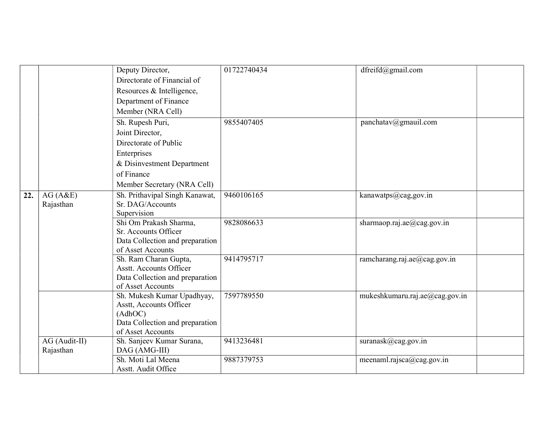|     |               | Deputy Director,                                     | 01722740434 | dfreifd@gmail.com              |
|-----|---------------|------------------------------------------------------|-------------|--------------------------------|
|     |               | Directorate of Financial of                          |             |                                |
|     |               | Resources & Intelligence,                            |             |                                |
|     |               | Department of Finance                                |             |                                |
|     |               | Member (NRA Cell)                                    |             |                                |
|     |               | Sh. Rupesh Puri,                                     | 9855407405  | panchatav@gmauil.com           |
|     |               | Joint Director,                                      |             |                                |
|     |               | Directorate of Public                                |             |                                |
|     |               | Enterprises                                          |             |                                |
|     |               | & Disinvestment Department                           |             |                                |
|     |               | of Finance                                           |             |                                |
|     |               | Member Secretary (NRA Cell)                          |             |                                |
| 22. | AG(A&E)       | Sh. Prithavipal Singh Kanawat,                       | 9460106165  | kanawatps@cag,gov.in           |
|     | Rajasthan     | Sr. DAG/Accounts                                     |             |                                |
|     |               | Supervision                                          |             |                                |
|     |               | Shi Om Prakash Sharma,                               | 9828086633  | sharmaop.raj.ae $@$ cag.gov.in |
|     |               | Sr. Accounts Officer                                 |             |                                |
|     |               | Data Collection and preparation<br>of Asset Accounts |             |                                |
|     |               | Sh. Ram Charan Gupta,                                | 9414795717  | ramcharang.raj.ae@cag.gov.in   |
|     |               | <b>Asstt. Accounts Officer</b>                       |             |                                |
|     |               | Data Collection and preparation                      |             |                                |
|     |               | of Asset Accounts                                    |             |                                |
|     |               | Sh. Mukesh Kumar Upadhyay,                           | 7597789550  | mukeshkumaru.raj.ae@cag.gov.in |
|     |               | Asstt, Accounts Officer                              |             |                                |
|     |               | (AdhOC)                                              |             |                                |
|     |               | Data Collection and preparation                      |             |                                |
|     |               | of Asset Accounts                                    |             |                                |
|     | AG (Audit-II) | Sh. Sanjeev Kumar Surana,                            | 9413236481  | suranask@cag.gov.in            |
|     | Rajasthan     | DAG (AMG-III)                                        |             |                                |
|     |               | Sh. Moti Lal Meena                                   | 9887379753  | meenaml.rajsca@cag.gov.in      |
|     |               | Asstt. Audit Office                                  |             |                                |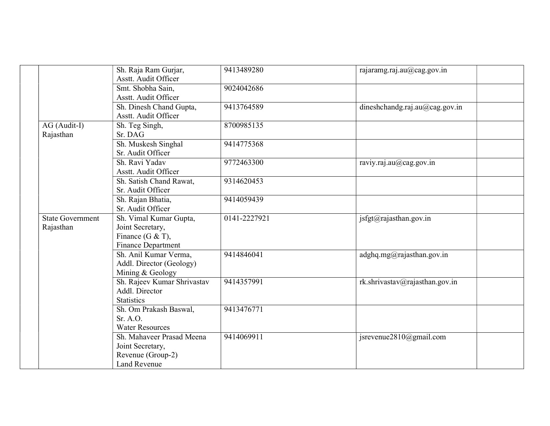|                         | Sh. Raja Ram Gurjar,<br>Asstt. Audit Officer | 9413489280   | rajaramg.raj.au@cag.gov.in     |
|-------------------------|----------------------------------------------|--------------|--------------------------------|
|                         |                                              |              |                                |
|                         | Smt. Shobha Sain,<br>Asstt. Audit Officer    | 9024042686   |                                |
|                         |                                              |              |                                |
|                         | Sh. Dinesh Chand Gupta,                      | 9413764589   | dineshchandg.raj.au@cag.gov.in |
|                         | Asstt. Audit Officer                         |              |                                |
| AG (Audit-I)            | Sh. Teg Singh,                               | 8700985135   |                                |
| Rajasthan               | Sr. DAG                                      |              |                                |
|                         | Sh. Muskesh Singhal                          | 9414775368   |                                |
|                         | Sr. Audit Officer                            |              |                                |
|                         | Sh. Ravi Yadav                               | 9772463300   | raviy.raj.au@cag.gov.in        |
|                         | Asstt. Audit Officer                         |              |                                |
|                         | Sh. Satish Chand Rawat,                      | 9314620453   |                                |
|                         | Sr. Audit Officer                            |              |                                |
|                         | Sh. Rajan Bhatia,                            | 9414059439   |                                |
|                         | Sr. Audit Officer                            |              |                                |
| <b>State Government</b> | Sh. Vimal Kumar Gupta,                       | 0141-2227921 | isfgt@rajasthan.gov.in         |
| Rajasthan               | Joint Secretary,                             |              |                                |
|                         | Finance (G & T),                             |              |                                |
|                         | Finance Department                           |              |                                |
|                         | Sh. Anil Kumar Verma,                        | 9414846041   | adghq.mg@rajasthan.gov.in      |
|                         | Addl. Director (Geology)                     |              |                                |
|                         | Mining & Geology                             |              |                                |
|                         | Sh. Rajeev Kumar Shrivastav                  | 9414357991   | rk.shrivastav@rajasthan.gov.in |
|                         | Addl. Director                               |              |                                |
|                         | <b>Statistics</b>                            |              |                                |
|                         | Sh. Om Prakash Baswal,                       | 9413476771   |                                |
|                         | Sr. A.O.                                     |              |                                |
|                         | <b>Water Resources</b>                       |              |                                |
|                         | Sh. Mahaveer Prasad Meena                    | 9414069911   | jsrevenue2810@gmail.com        |
|                         | Joint Secretary,                             |              |                                |
|                         | Revenue (Group-2)                            |              |                                |
|                         | Land Revenue                                 |              |                                |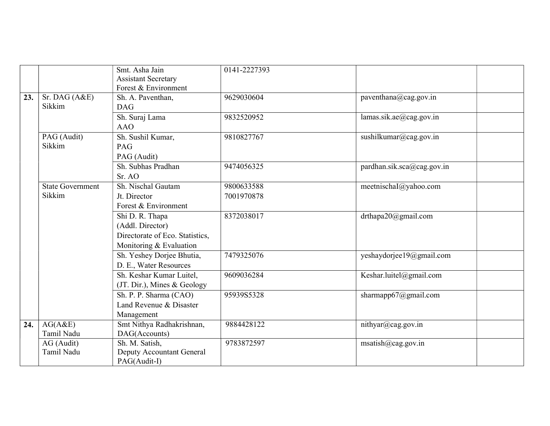|     |                           | Smt. Asha Jain<br><b>Assistant Secretary</b><br>Forest & Environment | 0141-2227393 |                            |
|-----|---------------------------|----------------------------------------------------------------------|--------------|----------------------------|
| 23. | Sr. DAG $(A&E)$<br>Sikkim | Sh. A. Paventhan,<br><b>DAG</b>                                      | 9629030604   | paventhana@cag.gov.in      |
|     |                           | Sh. Suraj Lama<br><b>AAO</b>                                         | 9832520952   | lamas.sik.ae@cag.gov.in    |
|     |                           |                                                                      |              |                            |
|     | PAG (Audit)<br>Sikkim     | Sh. Sushil Kumar,                                                    | 9810827767   | sushilkumar@cag.gov.in     |
|     |                           | PAG                                                                  |              |                            |
|     |                           | PAG (Audit)                                                          |              |                            |
|     |                           | Sh. Subhas Pradhan                                                   | 9474056325   | pardhan.sik.sca@cag.gov.in |
|     |                           | Sr. AO                                                               |              |                            |
|     | <b>State Government</b>   | Sh. Nischal Gautam                                                   | 9800633588   | meetnischaI@yahoo.com      |
|     | Sikkim                    | Jt. Director                                                         | 7001970878   |                            |
|     |                           | Forest & Environment                                                 |              |                            |
|     |                           | Shi D. R. Thapa                                                      | 8372038017   | drthapa20@gmail.com        |
|     |                           | (Addl. Director)                                                     |              |                            |
|     |                           | Directorate of Eco. Statistics,                                      |              |                            |
|     |                           | Monitoring & Evaluation                                              |              |                            |
|     |                           | Sh. Yeshey Dorjee Bhutia,                                            | 7479325076   | yeshaydorjee19@gmail.com   |
|     |                           | D. E., Water Resources                                               |              |                            |
|     |                           | Sh. Keshar Kumar Luitel,                                             | 9609036284   | Keshar.luitel@gmail.com    |
|     |                           | (JT. Dir.), Mines & Geology                                          |              |                            |
|     |                           | Sh. P. P. Sharma (CAO)                                               | 95939S5328   | sharmapp $67@g$ mail.com   |
|     |                           | Land Revenue & Disaster                                              |              |                            |
|     |                           | Management                                                           |              |                            |
| 24. | AG(A&E)                   | Smt Nithya Radhakrishnan,                                            | 9884428122   | nithyar@cag.gov.in         |
|     | Tamil Nadu                | DAG(Accounts)                                                        |              |                            |
|     | AG (Audit)                | Sh. M. Satish,                                                       | 9783872597   | msatisfı@cag.gov.in        |
|     | Tamil Nadu                | Deputy Accountant General                                            |              |                            |
|     |                           | PAG(Audit-I)                                                         |              |                            |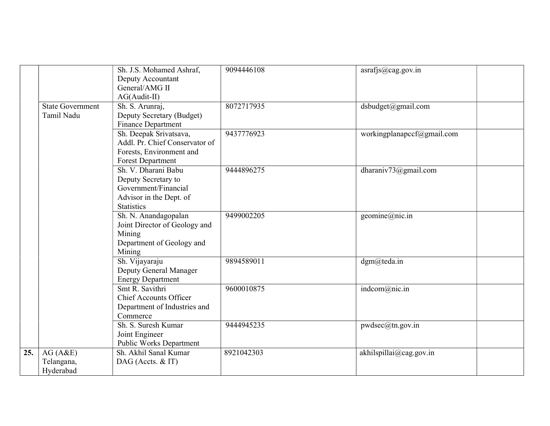|     |                                       | Sh. J.S. Mohamed Ashraf,<br>Deputy Accountant<br>General/AMG II<br>AG(Audit-II)                                    | 9094446108 | asrafjs@cag.gov.in         |
|-----|---------------------------------------|--------------------------------------------------------------------------------------------------------------------|------------|----------------------------|
|     | <b>State Government</b><br>Tamil Nadu | Sh. S. Arunraj,<br>Deputy Secretary (Budget)<br>Finance Department                                                 | 8072717935 | dsbudget@gmail.com         |
|     |                                       | Sh. Deepak Srivatsava,<br>Addl. Pr. Chief Conservator of<br>Forests, Environment and<br><b>Forest Department</b>   | 9437776923 | workingplanapccf@gmail.com |
|     |                                       | Sh. V. Dharani Babu<br>Deputy Secretary to<br>Government/Financial<br>Advisor in the Dept. of<br><b>Statistics</b> | 9444896275 | dharaniv73@gmail.com       |
|     |                                       | Sh. N. Anandagopalan<br>Joint Director of Geology and<br>Mining<br>Department of Geology and<br>Mining             | 9499002205 | geomine@nic.in             |
|     |                                       | Sh. Vijayaraju<br>Deputy General Manager<br><b>Energy Department</b>                                               | 9894589011 | dgm@teda.in                |
|     |                                       | Smt R. Savithri<br>Chief Accounts Officer<br>Department of Industries and<br>Commerce                              | 9600010875 | indcom@nic.in              |
|     |                                       | Sh. S. Suresh Kumar<br>Joint Engineer<br>Public Works Department                                                   | 9444945235 | pwdsec@tn.gov.in           |
| 25. | AG(A&E)<br>Telangana,<br>Hyderabad    | Sh. Akhil Sanal Kumar<br>DAG (Accts. & IT)                                                                         | 8921042303 | akhilspillai@cag.gov.in    |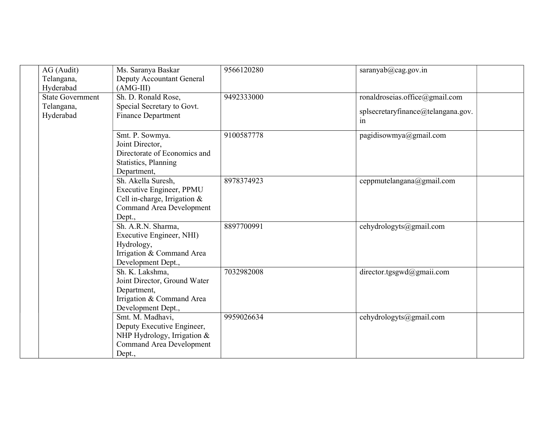| AG (Audit)<br>Telangana, | Ms. Saranya Baskar<br>Deputy Accountant General                | 9566120280 | saranyab $(a)$ cag.gov.in                |
|--------------------------|----------------------------------------------------------------|------------|------------------------------------------|
| Hyderabad                | $(AMG-III)$                                                    |            |                                          |
| <b>State Government</b>  | Sh. D. Ronald Rose,                                            | 9492333000 | ronaldroseias.office@gmail.com           |
| Telangana,               | Special Secretary to Govt.                                     |            |                                          |
| Hyderabad                | <b>Finance Department</b>                                      |            | splsecretaryfinance@telangana.gov.<br>1n |
|                          | Smt. P. Sowmya.                                                | 9100587778 | pagidisowmya@gmail.com                   |
|                          | Joint Director,                                                |            |                                          |
|                          | Directorate of Economics and                                   |            |                                          |
|                          | Statistics, Planning                                           |            |                                          |
|                          | Department,                                                    |            |                                          |
|                          | Sh. Akella Suresh,                                             | 8978374923 | ceppmutelangana@gmail.com                |
|                          | Executive Engineer, PPMU                                       |            |                                          |
|                          | Cell in-charge, Irrigation &                                   |            |                                          |
|                          | <b>Command Area Development</b>                                |            |                                          |
|                          | Dept.,                                                         |            |                                          |
|                          | Sh. A.R.N. Sharma,                                             | 8897700991 | cehydrologyts@gmail.com                  |
|                          | Executive Engineer, NHI)                                       |            |                                          |
|                          | Hydrology,                                                     |            |                                          |
|                          | Irrigation & Command Area                                      |            |                                          |
|                          | Development Dept.,                                             |            |                                          |
|                          | Sh. K. Lakshma,                                                | 7032982008 | director.tgsgwd@gmaii.com                |
|                          | Joint Director, Ground Water                                   |            |                                          |
|                          | Department,                                                    |            |                                          |
|                          | Irrigation & Command Area                                      |            |                                          |
|                          | Development Dept.,                                             | 9959026634 |                                          |
|                          | Smt. M. Madhavi,                                               |            | cehydrologyts@gmail.com                  |
|                          | Deputy Executive Engineer,                                     |            |                                          |
|                          | NHP Hydrology, Irrigation &<br><b>Command Area Development</b> |            |                                          |
|                          |                                                                |            |                                          |
|                          | Dept.,                                                         |            |                                          |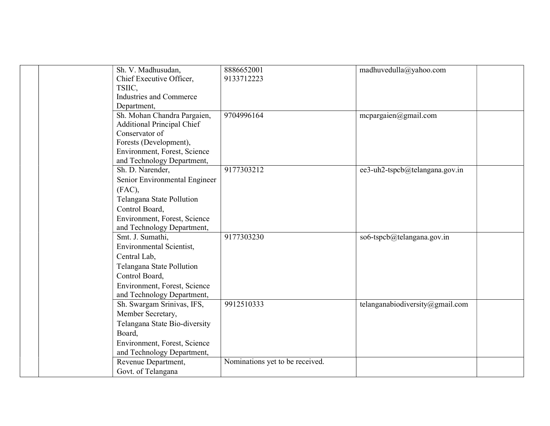| Sh. V. Madhusudan,                | 8886652001                      | madhuvedulla@yahoo.com          |
|-----------------------------------|---------------------------------|---------------------------------|
| Chief Executive Officer,          | 9133712223                      |                                 |
| TSIIC,                            |                                 |                                 |
| <b>Industries and Commerce</b>    |                                 |                                 |
| Department,                       |                                 |                                 |
| Sh. Mohan Chandra Pargaien,       | 9704996164                      | mcpargaien@gmail.com            |
| <b>Additional Principal Chief</b> |                                 |                                 |
| Conservator of                    |                                 |                                 |
| Forests (Development),            |                                 |                                 |
| Environment, Forest, Science      |                                 |                                 |
| and Technology Department,        |                                 |                                 |
| Sh. D. Narender,                  | 9177303212                      | ee3-uh2-tspcb@telangana.gov.in  |
| Senior Environmental Engineer     |                                 |                                 |
| (FAC),                            |                                 |                                 |
| Telangana State Pollution         |                                 |                                 |
| Control Board,                    |                                 |                                 |
| Environment, Forest, Science      |                                 |                                 |
| and Technology Department,        |                                 |                                 |
| Smt. J. Sumathi,                  | 9177303230                      | so6-tspcb@telangana.gov.in      |
| <b>Environmental Scientist,</b>   |                                 |                                 |
| Central Lab,                      |                                 |                                 |
| Telangana State Pollution         |                                 |                                 |
| Control Board,                    |                                 |                                 |
| Environment, Forest, Science      |                                 |                                 |
| and Technology Department,        |                                 |                                 |
| Sh. Swargam Srinivas, IFS,        | 9912510333                      | telanganabiodiversity@gmail.com |
| Member Secretary,                 |                                 |                                 |
| Telangana State Bio-diversity     |                                 |                                 |
| Board,                            |                                 |                                 |
| Environment, Forest, Science      |                                 |                                 |
| and Technology Department,        |                                 |                                 |
| Revenue Department,               | Nominations yet to be received. |                                 |
| Govt. of Telangana                |                                 |                                 |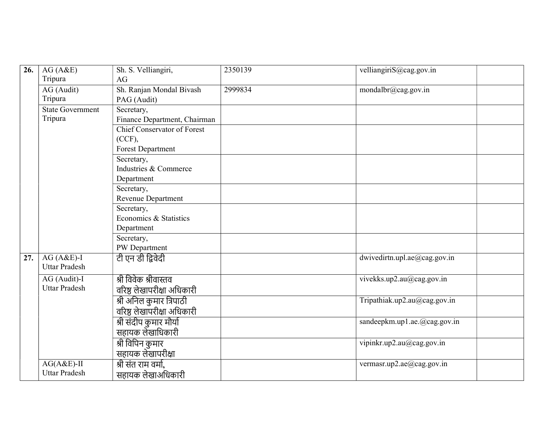| 26. | AG(A&E)                 | Sh. S. Velliangiri,                | 2350139 | velliangiriS@cag.gov.in      |
|-----|-------------------------|------------------------------------|---------|------------------------------|
|     | Tripura                 | AG                                 |         |                              |
|     | AG (Audit)              | Sh. Ranjan Mondal Bivash           | 2999834 | mondalbr@cag.gov.in          |
|     | Tripura                 | PAG (Audit)                        |         |                              |
|     | <b>State Government</b> | Secretary,                         |         |                              |
|     | Tripura                 | Finance Department, Chairman       |         |                              |
|     |                         | <b>Chief Conservator of Forest</b> |         |                              |
|     |                         | $(CCF)$ ,                          |         |                              |
|     |                         | <b>Forest Department</b>           |         |                              |
|     |                         | Secretary,                         |         |                              |
|     |                         | Industries & Commerce              |         |                              |
|     |                         | Department                         |         |                              |
|     |                         | Secretary,                         |         |                              |
|     |                         | Revenue Department                 |         |                              |
|     |                         | Secretary,                         |         |                              |
|     |                         | Economics & Statistics             |         |                              |
|     |                         | Department                         |         |                              |
|     |                         | Secretary,                         |         |                              |
|     |                         | PW Department                      |         |                              |
| 27. | $AG(A&E)-I$             | टी एन डी द्विवेदी                  |         | dwivedirtn.upl.ae@cag.gov.in |
|     | <b>Uttar Pradesh</b>    |                                    |         |                              |
|     | AG (Audit)-I            | श्री विवेक श्रीवास्तव              |         | vivekks.up2.au@cag.gov.in    |
|     | <b>Uttar Pradesh</b>    | वरिष्ठ लेखापरीक्षा अधिकारी         |         |                              |
|     |                         | श्री अनिल कुमार त्रिपाठी           |         | Tripathiak.up2.au@cag.gov.in |
|     |                         | वरिष्ठ लेखापरीक्षा अधिकारी         |         |                              |
|     |                         | श्री संदीप कुमार मौर्या            |         | sandeepkm.up1.ae.@cag.gov.in |
|     |                         | सहायक लेखाधिकारी                   |         |                              |
|     |                         | श्री विपिन कुमार                   |         | vipinkr.up2.au@cag.gov.in    |
|     |                         | सहायक लेखापरीक्षा                  |         |                              |
|     | $AG(A&E)$ -II           | श्री संत राम वर्मा,                |         | vermasr.up2.ae@cag.gov.in    |
|     | <b>Uttar Pradesh</b>    | सहायक लेखाअधिकारी                  |         |                              |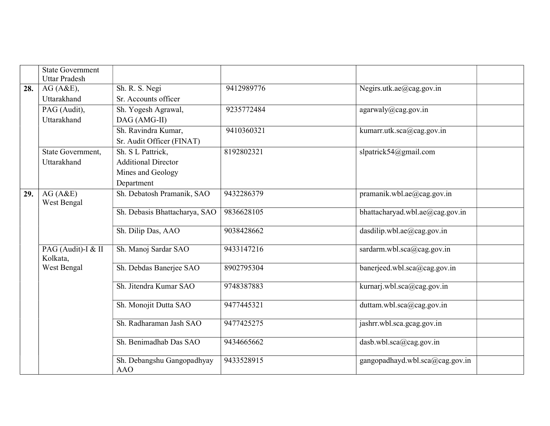|     | <b>State Government</b> |                                          |            |                                 |
|-----|-------------------------|------------------------------------------|------------|---------------------------------|
|     | <b>Uttar Pradesh</b>    |                                          |            |                                 |
| 28. | AG(A&E),                | Sh. R. S. Negi                           | 9412989776 | Negirs.utk.ae@cag.gov.in        |
|     | Uttarakhand             | Sr. Accounts officer                     |            |                                 |
|     | PAG (Audit),            | Sh. Yogesh Agrawal,                      | 9235772484 | agarwaly@cag.gov.in             |
|     | Uttarakhand             | DAG (AMG-II)                             |            |                                 |
|     |                         | Sh. Ravindra Kumar,                      | 9410360321 | kumarr.utk.sca@cag.gov.in       |
|     |                         | Sr. Audit Officer (FINAT)                |            |                                 |
|     | State Government,       | Sh. S L Pattrick,                        | 8192802321 | slpatrick54@gmail.com           |
|     | Uttarakhand             | <b>Additional Director</b>               |            |                                 |
|     |                         | Mines and Geology                        |            |                                 |
|     |                         | Department                               |            |                                 |
| 29. | AG(A&E)                 | Sh. Debatosh Pramanik, SAO               | 9432286379 | pramanik.wbl.ae@cag.gov.in      |
|     | West Bengal             |                                          |            |                                 |
|     |                         | Sh. Debasis Bhattacharya, SAO            | 9836628105 | bhattacharyad.wbl.ae@cag.gov.in |
|     |                         | Sh. Dilip Das, AAO                       | 9038428662 | dasdilip.wbl.ae@cag.gov.in      |
|     |                         |                                          |            |                                 |
|     | PAG (Audit)-I & II      | Sh. Manoj Sardar SAO                     | 9433147216 | sardarm.wbl.sca@cag.gov.in      |
|     | Kolkata,                |                                          |            |                                 |
|     | West Bengal             | Sh. Debdas Banerjee SAO                  | 8902795304 | banerjeed.wbl.sca@cag.gov.in    |
|     |                         |                                          |            |                                 |
|     |                         | Sh. Jitendra Kumar SAO                   | 9748387883 | kurnarj.wbl.sca@cag.gov.in      |
|     |                         | Sh. Monojit Dutta SAO                    | 9477445321 | duttam.wbl.sca@cag.gov.in       |
|     |                         |                                          |            |                                 |
|     |                         | Sh. Radharaman Jash SAO                  | 9477425275 | jashrr.wbl.sca.gcag.gov.in      |
|     |                         |                                          |            |                                 |
|     |                         | Sh. Benimadhab Das SAO                   | 9434665662 | $d$ asb.wbl.sca@cag.gov.in      |
|     |                         |                                          |            |                                 |
|     |                         | Sh. Debangshu Gangopadhyay<br><b>AAO</b> | 9433528915 | gangopadhayd.wbl.sca@cag.gov.in |
|     |                         |                                          |            |                                 |